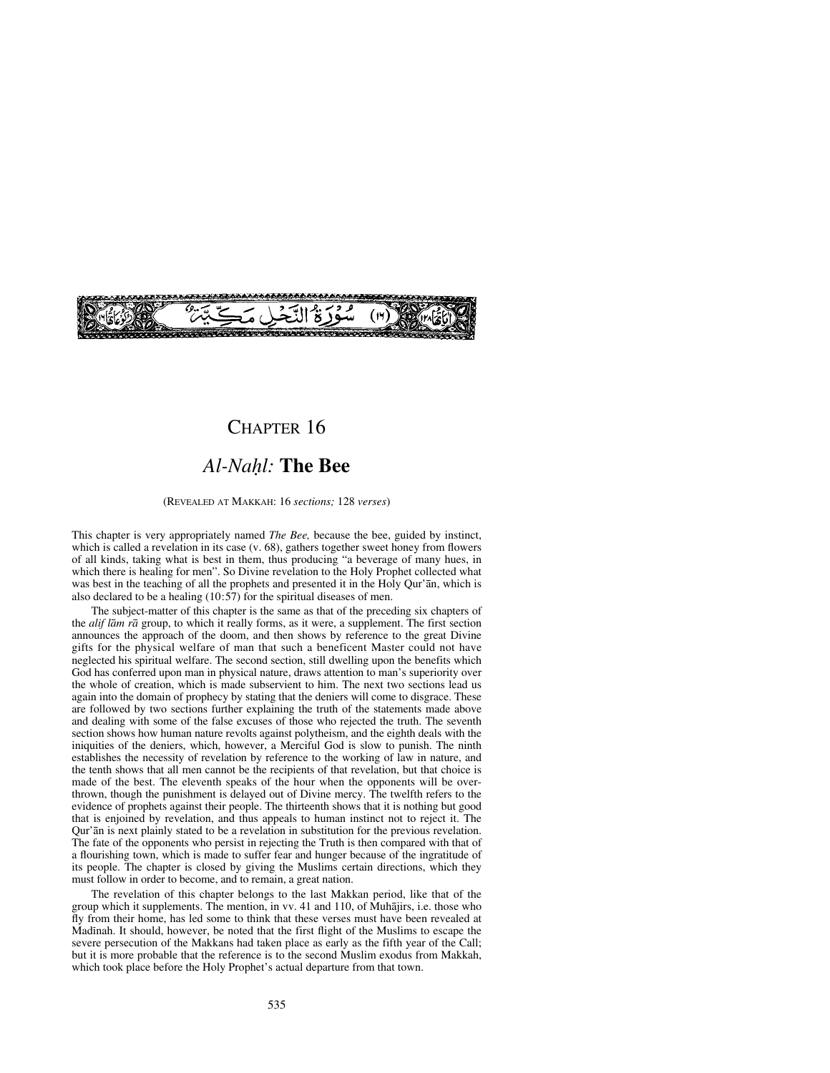# CHAPTER 16

# *Al-Naƒl:* **The Bee**

(REVEALED AT MAKKAH: 16 *sections;* 128 *verses*)

This chapter is very appropriately named *The Bee,* because the bee, guided by instinct, which is called a revelation in its case (v. 68), gathers together sweet honey from flowers of all kinds, taking what is best in them, thus producing "a beverage of many hues, in which there is healing for men". So Divine revelation to the Holy Prophet collected what was best in the teaching of all the prophets and presented it in the Holy Qur'an, which is also declared to be a healing (10:57) for the spiritual diseases of men.

The subject-matter of this chapter is the same as that of the preceding six chapters of the *alif låm rå* group, to which it really forms, as it were, a supplement. The first section announces the approach of the doom, and then shows by reference to the great Divine gifts for the physical welfare of man that such a beneficent Master could not have neglected his spiritual welfare. The second section, still dwelling upon the benefits which God has conferred upon man in physical nature, draws attention to man's superiority over the whole of creation, which is made subservient to him. The next two sections lead us again into the domain of prophecy by stating that the deniers will come to disgrace. These are followed by two sections further explaining the truth of the statements made above and dealing with some of the false excuses of those who rejected the truth. The seventh section shows how human nature revolts against polytheism, and the eighth deals with the iniquities of the deniers, which, however, a Merciful God is slow to punish. The ninth establishes the necessity of revelation by reference to the working of law in nature, and the tenth shows that all men cannot be the recipients of that revelation, but that choice is made of the best. The eleventh speaks of the hour when the opponents will be overthrown, though the punishment is delayed out of Divine mercy. The twelfth refers to the evidence of prophets against their people. The thirteenth shows that it is nothing but good that is enjoined by revelation, and thus appeals to human instinct not to reject it. The Qur'ån is next plainly stated to be a revelation in substitution for the previous revelation. The fate of the opponents who persist in rejecting the Truth is then compared with that of a flourishing town, which is made to suffer fear and hunger because of the ingratitude of its people. The chapter is closed by giving the Muslims certain directions, which they must follow in order to become, and to remain, a great nation.

The revelation of this chapter belongs to the last Makkan period, like that of the group which it supplements. The mention, in vv. 41 and 110, of Muhåjirs, i.e. those who fly from their home, has led some to think that these verses must have been revealed at Madinah. It should, however, be noted that the first flight of the Muslims to escape the severe persecution of the Makkans had taken place as early as the fifth year of the Call; but it is more probable that the reference is to the second Muslim exodus from Makkah, which took place before the Holy Prophet's actual departure from that town.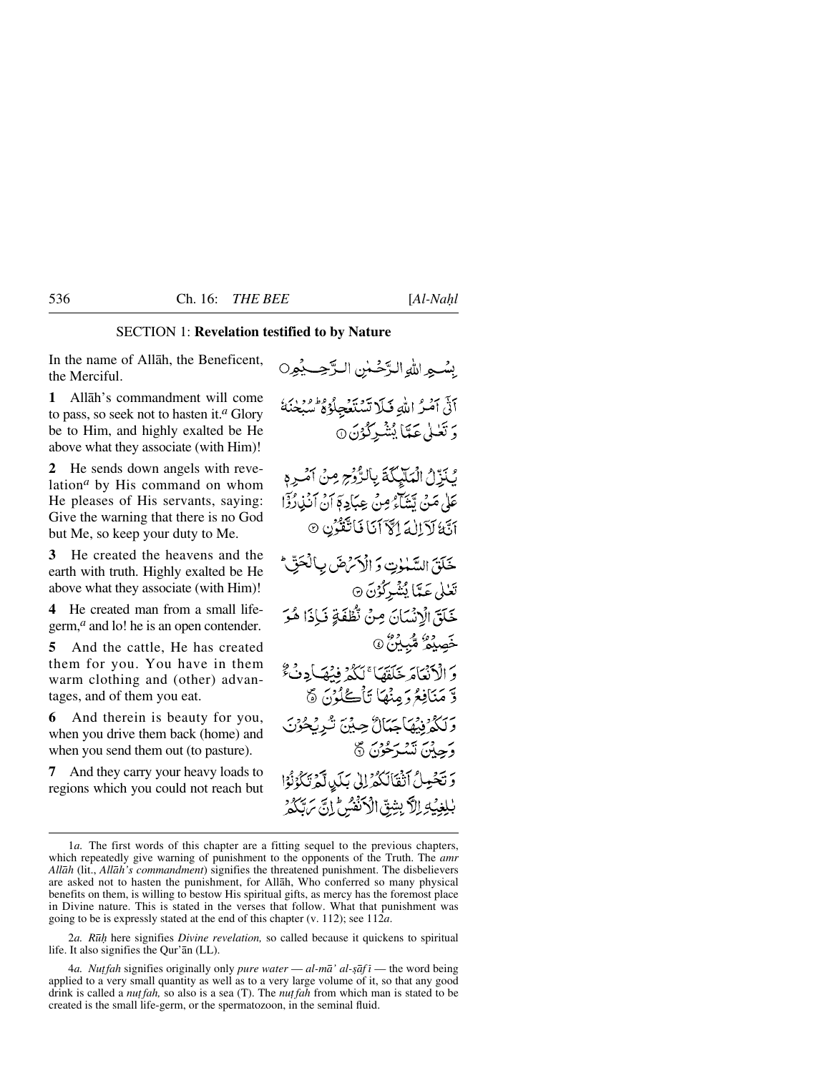## SECTION 1: **Revelation testified to by Nature**

In the name of Allåh, the Beneficent, the Merciful.

**1** Allåh's commandment will come to pass, so seek not to hasten it.*<sup>a</sup>* Glory be to Him, and highly exalted be He above what they associate (with Him)!

**2** He sends down angels with revelation*<sup>a</sup>* by His command on whom He pleases of His servants, saying: Give the warning that there is no God but Me, so keep your duty to Me.

**3** He created the heavens and the earth with truth. Highly exalted be He above what they associate (with Him)!

**4** He created man from a small lifegerm,<sup>*a*</sup> and lo! he is an open contender.

**5** And the cattle, He has created them for you. You have in them warm clothing and (other) advantages, and of them you eat.

**6** And therein is beauty for you, when you drive them back (home) and when you send them out (to pasture).

**7** And they carry your heavy loads to regions which you could not reach but

بِسُبِهِ اللهِ الدَّحْسُنِ الدَّحِبِ بِمُورِ ( آتى آمُرُ اللهِ فَلَا تَسْتَعْجِلُوْهُ سُبْعَنَهُ وَتَعْلَىٰ عَمَّاَ بُشْرِكُوْنَ ۞

كَنَزِّلُ الْمَلَّيِّكَةَ بِالرُّوْجِ مِنْ أَمْرِهِ عَلَىٰ مَنْ يَتَتَنَاءُ مِنْ عِبَادِ ﴾ أَنْ أَنْذِرُدًا آيَّةُ لَآَ إِلَهَ إِكْرَانَا فَاتَّقَوُّنِ ۞

خَلَقَ السَّهْلُوتِ وَ الْأَمْرَضَ بِٱلْحَقِّ\* تَعْلَىٰ عَيَّمَاٰ يُشْبِرْكُوْنَ ۞ خَلَقَ الْإِنْسَانَ مِنْ نُطْفَةٍ فَإِذَا هُوَ خَصِيْهُ شَّبِيْنَ ۞ وَ الْأَنْعَامَ خَلَقَهَا ۚ لَكُمْ فَنُهَيَأُ دِنْ ۚ وَّ مَنَافِعُ دَ مِنْهَا تَأْكُلُونَ ۞ وَلَكُمْ فِيهَاجَنَالٌ حِيْنَ تُرِيْحُوْنَ وَجِبْنَ تَسْرَحُوْنَ ۞ وتخول أتقالكم الى بكي أمرتكونوا بْلِغِيْلِ الْأَبِشِقِّ الْأَنْفُسُ إِنَّ يَرَتَّكُمْ

2*a. R∂ƒ* here signifies *Divine revelation,* so called because it quickens to spiritual life. It also signifies the Qur'ån (LL).

4*a. Nut fah* signifies originally only *pure water* — *al-mā' al-ṣāf i* — the word being applied to a very small quantity as well as to a very large volume of it, so that any good drink is called a *nut fah*, so also is a sea (T). The *nut fah* from which man is stated to be created is the small life-germ, or the spermatozoon, in the seminal fluid.

<sup>1</sup>*a.* The first words of this chapter are a fitting sequel to the previous chapters, which repeatedly give warning of punishment to the opponents of the Truth. The *amr Allåh* (lit., *Allåh's commandment*) signifies the threatened punishment. The disbelievers are asked not to hasten the punishment, for Allåh, Who conferred so many physical benefits on them, is willing to bestow His spiritual gifts, as mercy has the foremost place in Divine nature. This is stated in the verses that follow. What that punishment was going to be is expressly stated at the end of this chapter (v. 112); see 112*a*.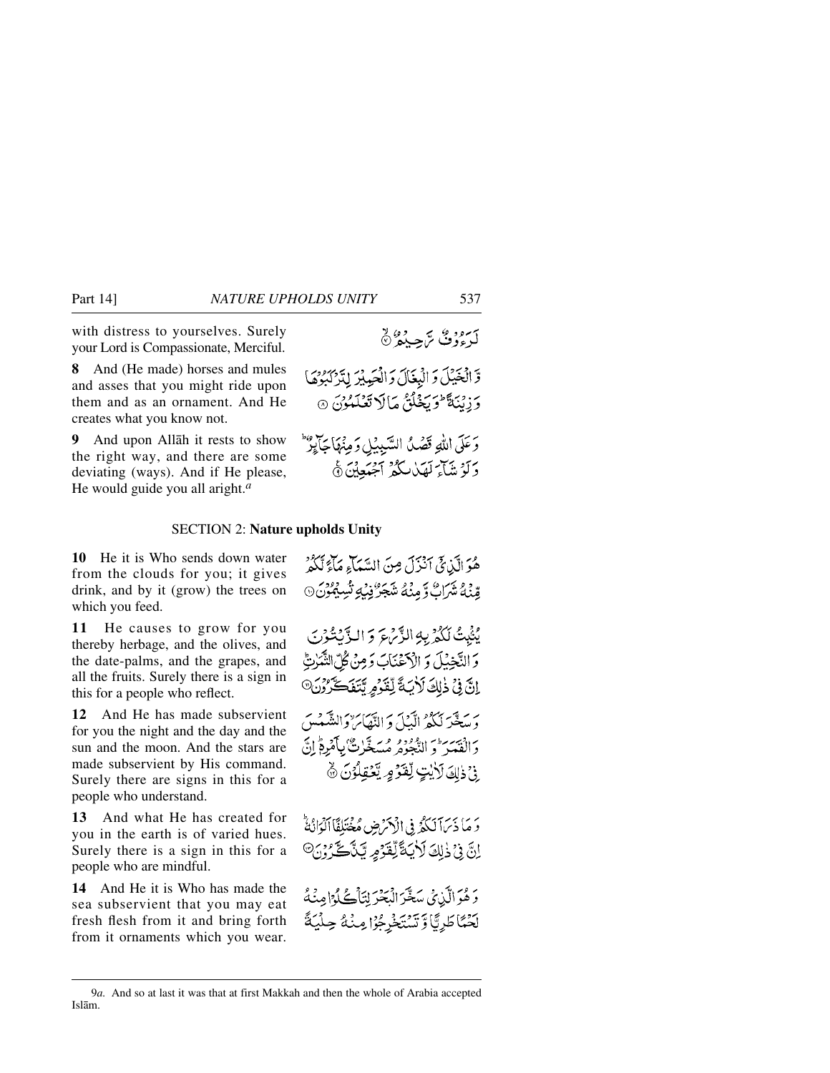with distress to yourselves. Surely your Lord is Compassionate, Merciful.

**8** And (He made) horses and mules and asses that you might ride upon them and as an ornament. And He creates what you know not.

**9** And upon Allåh it rests to show the right way, and there are some deviating (ways). And if He please, He would guide you all aright.*<sup>a</sup>*

وَ الْخَيْلَ وَ الْبِغَالَ وَ الْحَمِيْرَ لِتَرْكَبُوْهَا وْ زِينَةً تَوَيَخْلُقُ مَالَا تَعْلَمُوْنَ ۞ وَعَلَى اللَّهِ قَصْدُ السَّيِبِيْلِ وَمِنْهَا جَايِرٌ دَ تَوْ شَاءَ لَهَدْ لَكُفَرْ أَجْهَٰدِينَ ﴾

#### SECTION 2: **Nature upholds Unity**

**10** He it is Who sends down water from the clouds for you; it gives drink, and by it (grow) the trees on which you feed.

**11** He causes to grow for you thereby herbage, and the olives, and the date-palms, and the grapes, and all the fruits. Surely there is a sign in this for a people who reflect.

**12** And He has made subservient for you the night and the day and the sun and the moon. And the stars are made subservient by His command. Surely there are signs in this for a people who understand.

**13** And what He has created for you in the earth is of varied hues. Surely there is a sign in this for a people who are mindful.

**14** And He it is Who has made the sea subservient that you may eat fresh flesh from it and bring forth from it ornaments which you wear.

هُوَ الَّذِيِّ أَنْزَلَ مِنَ السَّمَاءِ مَآءٌ لَّكُمْ قِينَةُ شَرَاتٌ وَمِنْهُ شَجَرٌ فِنْ شَبِينَ مِنْ مِنْ مِنْ مِنْ الْمَدِينَ

يُثْبِتُ لَكُمْ بِهِ الزَّبْرِعَ وَ الزَّيْتُوْنَ وَالنَّجْبُلَ وَ الْأَحْنَاكَ وَمِنْ كُلِّ النَّمَٰرِيُّ انَّ فِي ذٰلِكَ لَأَيَةً لِّقَدُّمِ تَتَفَكَّرُوْنَ® برسطير لكثر الآيي والتفائر والنقيميين وَالْفَعَيْرَ فَيَ الدُّجُوهِ مُسَعَّلَتٌ بِٱمْرِمَّ إِنَّ ِ فِي ذَاكَ لِأَيْتٍ لِقَوْمٍ يَّعْقِلُوْنَ ﴾

وَ مَا ذَيَرَآ لَكُمُّ فِي الْأَكْرَضِ مُخْتَلِفًا الْوَانُةُ <u>انَّ فِي ذٰلِكَ لَأَيَةً لِّقَوْمِ يَنَّاحَ وَيْ</u>

دَهُوَالَّذِي سَغَّرَ الْبَحْرَ لِتَأْكُلُوْا مِنْهُ بِّنْهَاطَرِيَّا وَتَسْتَخْرِجُوْا مِنْهُ حِلْيَةً

كە دومۇمى تەجەمدە ن

<sup>9</sup>*a.* And so at last it was that at first Makkah and then the whole of Arabia accepted Islåm.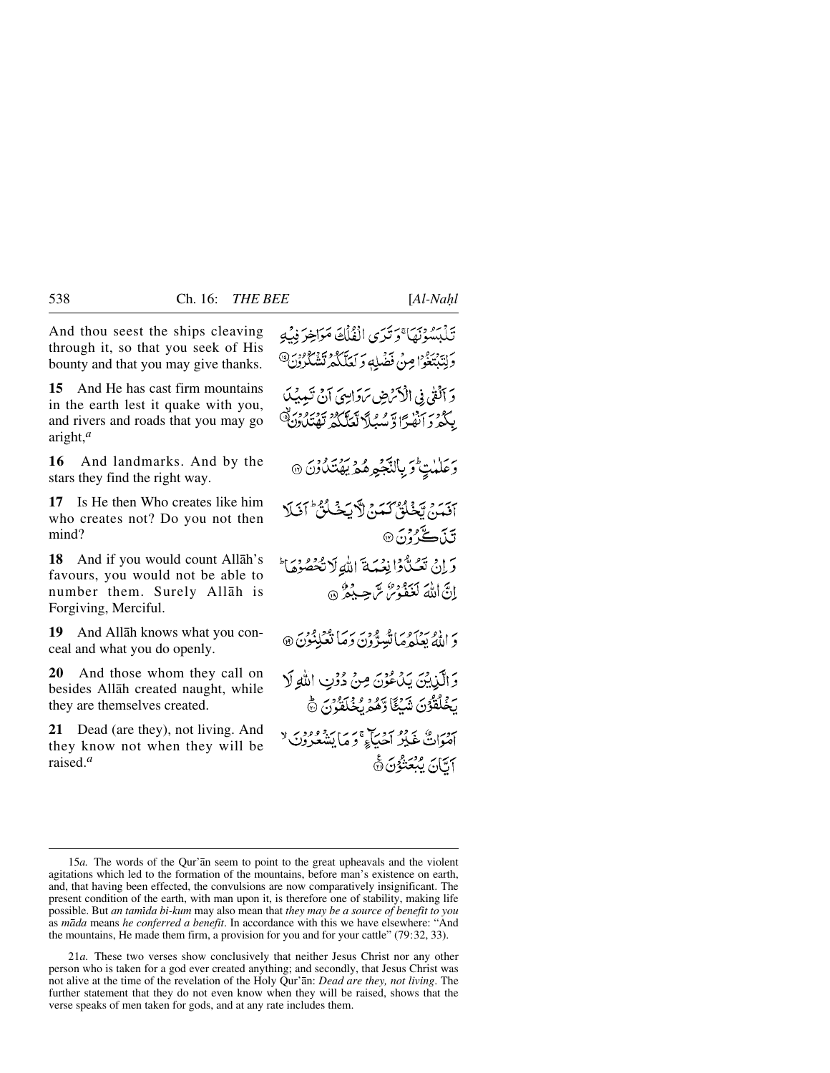And thou seest the ships cleaving through it, so that you seek of His bounty and that you may give thanks.

**15** And He has cast firm mountains in the earth lest it quake with you, and rivers and roads that you may go aright,*<sup>a</sup>*

**16** And landmarks. And by the stars they find the right way.

**17** Is He then Who creates like him who creates not? Do you not then mind?

**18** And if you would count Allåh's favours, you would not be able to number them. Surely Allåh is Forgiving, Merciful.

**19** And Allåh knows what you conceal and what you do openly.

**20** And those whom they call on besides Allåh created naught, while they are themselves created.

**21** Dead (are they), not living. And they know not when they will be raised.*<sup>a</sup>*

تَذَبَّبُهُ ذِيمَا ۚ دَ تَدَى الْفُلُكَ مَوَاخِرَ فِيهِ وَلِتَدْبَعُوْا مِنْ فَضْلِهِ وَ لَعَلَّكُمْ تَشْكُرُونَ® وَ ٱلۡفِیۡ فِی الۡکِمۡضِ سَوَالِّہِیَ آ نَ تَعِیبُکَ بِكُثْرَ دَنْ الْقَسْرَادَ تَعَلَّكُمْ تَفْتَلُدُونَ ﴾ رَ عَلَيْتٍ وَ بِالنَّجْمِهِ هُمْ يَهْتَدُوْنَ @ آقَمَنْ يَخْلُقُ كَمَنْ لَآيَخْلُقُّ آفَلَا تَنَڪَرُو*ُنَ* وَإِنْ تَعُبُّوْا نِعْبَةَ اللَّهِ لَا تُخْصُوْهَا \* إنَّ اللَّهَ لَعَبُّودِهُ بِمَ حِيدِهِ ۞ دَ اللَّهُ بَعَلَهُ مَا تَبِيدٌونَ دَمَا تَعْلِنُونَ ۞ وَالَّذِينَ يَدۡعُوۡنَ مِنۡ دُوۡتِ اللَّهِ لَا يَخْلُقُونَ شَيْئًا وَهُمْ يُخْلَقُونَ ﴾

سور في سرده سور سي حي سنة وود به لا<br>اصوات غيلر احياء و ما يشعرون لا أمَّانَ بِمُعَنْدُنَ۞

21*a.* These two verses show conclusively that neither Jesus Christ nor any other person who is taken for a god ever created anything; and secondly, that Jesus Christ was not alive at the time of the revelation of the Holy Qur'ån: *Dead are they, not living*. The further statement that they do not even know when they will be raised, shows that the verse speaks of men taken for gods, and at any rate includes them.

<sup>15</sup>*a.* The words of the Qur'ån seem to point to the great upheavals and the violent agitations which led to the formation of the mountains, before man's existence on earth, and, that having been effected, the convulsions are now comparatively insignificant. The present condition of the earth, with man upon it, is therefore one of stability, making life possible. But *an tamßda bi-kum* may also mean that *they may be a source of benefit to you* as *måda* means *he conferred a benefit*. In accordance with this we have elsewhere: "And the mountains, He made them firm, a provision for you and for your cattle" (79:32, 33).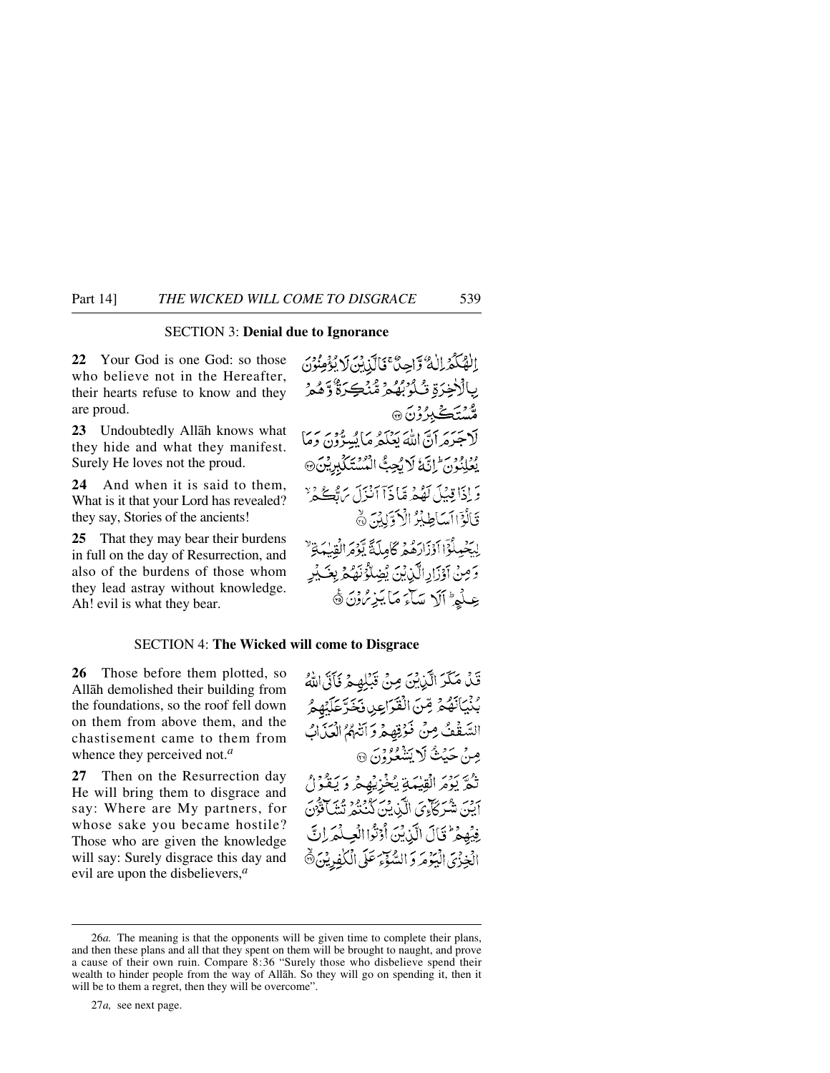### SECTION 3: **Denial due to Ignorance**

**22** Your God is one God: so those who believe not in the Hereafter, their hearts refuse to know and they are proud.

**23** Undoubtedly Allåh knows what they hide and what they manifest. Surely He loves not the proud.

**24** And when it is said to them, What is it that your Lord has revealed? they say, Stories of the ancients!

**25** That they may bear their burdens in full on the day of Resurrection, and also of the burdens of those whom they lead astray without knowledge. Ah! evil is what they bear.

الْهُكُمْ الْهُ وَّاحِيٌّ كَالَّذِبَنَ لَا يُؤْمِنُونَ بِالْأَخِرَةِ تُأْرُبُهُمْ ثُنْكَرَةٌ وَهُمْ ۄ۠ۺؾؘڴ<u>ڹ</u>ۯۯڹؘ۞ لْاجْدَهَ أَنَّ اللَّهَ يَعْلَمُهِ مَا يُسِرُّونَ وَمَا يُعْلِنُونَ إِنَّ لَا يُجِبُّ الْمُسْتَكَلِّدِيْنَ @ وَإِذَا قِبْلَ لَهُمْ قَبَادَآ أَنْزَلَ يَهُ فِي ۚ رَّ قَالُوْۤاأَسَاطِيۡرُ الۡاَوَّلِيۡنَ ﴾ لِيَحْمِلُوْٓا اَوۡزَارَهُمۡ كَامِلَةً يَّوۡمَ الۡقِيۡمَاةِ ۙ وَصِنْ آوْزَارِ الَّٰٓنِيْنَ يُضِلُّوُنَهُمْ بِغَـٰيْرِ عِلْمِ ۚ أَلَا سَآءَ مَا يَزِيْرُونَ ﴾

#### SECTION 4: **The Wicked will come to Disgrace**

**26** Those before them plotted, so Allåh demolished their building from the foundations, so the roof fell down on them from above them, and the chastisement came to them from whence they perceived not.*<sup>a</sup>*

**27** Then on the Resurrection day He will bring them to disgrace and say: Where are My partners, for whose sake you became hostile? Those who are given the knowledge will say: Surely disgrace this day and evil are upon the disbelievers,*<sup>a</sup>*

قَنْ مَكَّرَ الَّذِيْنَ مِنْ قَبْلِهِمْ فَأَتَى اللَّهُ بُنْيَانَهُمْ مِّنَ الْقَرَاعِينِ فَخَرَّعَلَيْهِمُ السَّفْفُ مِنْ فَوُقِهِهُ وَأَنْبُهُمُ الْعَذَابُ صِنْ حَيْثُ لَا يَشْعُرُوْنَ ۞ تْكُمْ يَوْمَرِ الْقِيْمَةِ يُخْزِيْهِجْ دَيَقْوَلْ ابِن شَرِ كَأْءِيَ الَّذِينَ كَنْنَهُ ثَنْتُهُ تَتَنَافُونَ فِيْهِمْ ۚ فَالَ الَّذِيْنَ أَوْثَوَا الْعِبْلُمَرِ إِنَّ الْخِزْيَ الْيَؤْمَرَ وَ السَّوْءَ عَلَى الْكَٰفِرِيْنَ ﴾

27*a,* see next page.

<sup>26</sup>*a.* The meaning is that the opponents will be given time to complete their plans, and then these plans and all that they spent on them will be brought to naught, and prove a cause of their own ruin. Compare 8:36 "Surely those who disbelieve spend their wealth to hinder people from the way of Allåh. So they will go on spending it, then it will be to them a regret, then they will be overcome".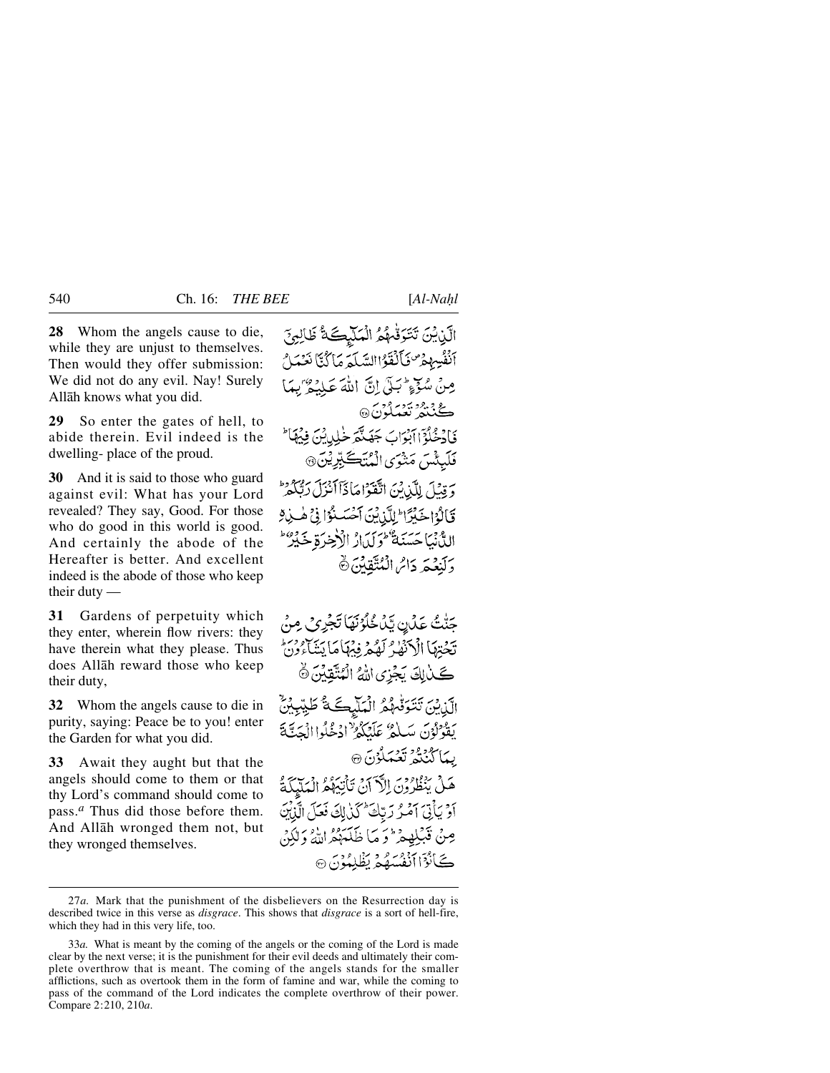**28** Whom the angels cause to die, while they are unjust to themselves. Then would they offer submission: We did not do any evil. Nay! Surely Allåh knows what you did.

**29** So enter the gates of hell, to abide therein. Evil indeed is the dwelling- place of the proud.

**30** And it is said to those who guard against evil: What has your Lord revealed? They say, Good. For those who do good in this world is good. And certainly the abode of the Hereafter is better. And excellent indeed is the abode of those who keep their duty —

**31** Gardens of perpetuity which they enter, wherein flow rivers: they have therein what they please. Thus does Allåh reward those who keep their duty,

**32** Whom the angels cause to die in purity, saying: Peace be to you! enter the Garden for what you did.

**33** Await they aught but that the angels should come to them or that thy Lord's command should come to pass.*<sup>a</sup>* Thus did those before them. And Allåh wronged them not, but they wronged themselves.

الَّيْنِيْنَ تَتَوَقَّهُمُ الْمَلْيِكَةُ ظَالِمِ؟ أَنْفُسِهِمْرٌ فَأَلْفَوْاالِسَكَةِ مَا َكُنَّا نَعْمَلُ مِنْ سُدِّءٍ شَبَلَ إِنَّ اللَّهَ عَلَيْهِ ۖ بِيمَا ڪُنٽهُ تَعَبَدُنَ® فَأَدْخُلُوْٓا أَبۡوَابَ جَهَنَّهَ خَلِيلٌ بِنَ فِيهَمَّا ۖ فَلَبِئْسَ مَتْنُوَى الْمُنَڪَبِّرِيْنَ۞ وَقِيْلَ لِلَّذِينَ اتَّقَوْاهَاذَآاَنْزَلَ رَبُّكُمْ قَالَةُ اِخْبُرًا إِلِّكَّانِينَ آَخْسَنُوْا فِي هَيْ لِهِ الدُّنْيَا حَسَنَةٌ كُولِيْ\رُ الْأَخِرَةِ خَيْرٌ دَلَنِعُكَرِ دَاسُ الْمُتَّقِينَ ۞

جَنّْتُ عَدَّنٍ يَّدُ خُلُوُنَهَا تَجْرِي مِنْ يحضرها الكتفلو كفحر فيهاما يتناءدن كَلّْبِلِكَ يَجْزِي اللَّهُ الْمُتَّقِيْنَ ۞ اآندنيَ تَتَوَفَّهُمُ الْمَلْيِكَةُ طَيِّبِيْنٌ يَقُوْلُوْنَ سَيٰلِهُ عَلَيْكُمْ ٰادْخُلُوا الْجَنَّةَ ىيە ال<sup>روو</sup>د ئ**ۇي**ماگ<sub>ۇن</sub> ھ هَلْ يَنْظُرُونَ الْأَرَانُ تَأْنِيَهُمُ الْمَلَيْكَةُ أَوْ يَأْتِيَ آَمُوْ رَبِّكَ كَذَٰلِكَ فَعَلَى الَّذِيْنَ مِنْ فَبَلِهِمْ ۖ وَ مَا ظَلَمَهُمُّ اللَّهُ وَلَٰكِنَّ ڪَأَنُوٓا أَنْفُسَهُمۡ نَظۡلِمُوۡنَ ۞

<sup>27</sup>*a.* Mark that the punishment of the disbelievers on the Resurrection day is described twice in this verse as *disgrace*. This shows that *disgrace* is a sort of hell-fire, which they had in this very life, too.

<sup>33</sup>*a.* What is meant by the coming of the angels or the coming of the Lord is made clear by the next verse; it is the punishment for their evil deeds and ultimately their complete overthrow that is meant. The coming of the angels stands for the smaller afflictions, such as overtook them in the form of famine and war, while the coming to pass of the command of the Lord indicates the complete overthrow of their power. Compare 2:210, 210*a*.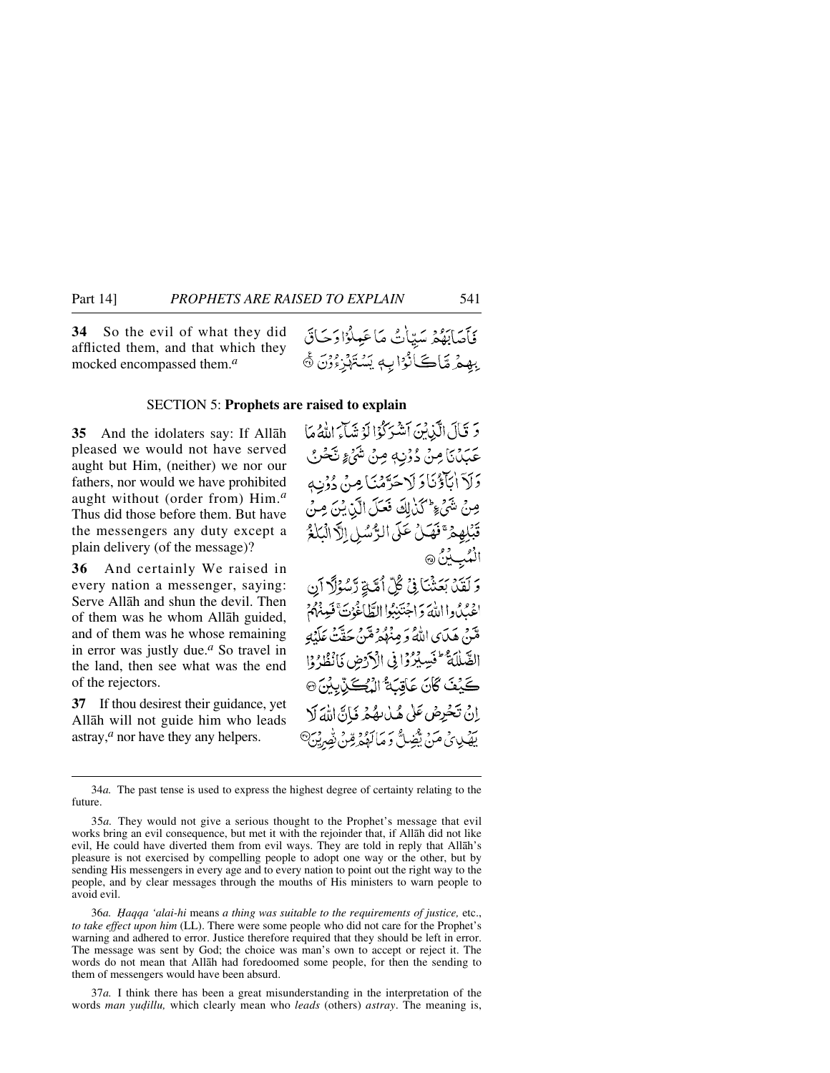**34** So the evil of what they did afflicted them, and that which they mocked encompassed them.*<sup>a</sup>*

فَأَصَابَهُمْ سَيِّأَتُ مَا عَمِلُوْادَحَاقَ بِهِمْ مَّاكَانُوْا بِهِ يَسْتَهْزِءُوْنَ ﴾

#### SECTION 5: **Prophets are raised to explain**

**35** And the idolaters say: If Allåh pleased we would not have served aught but Him, (neither) we nor our fathers, nor would we have prohibited aught without (order from) Him.*<sup>a</sup>* Thus did those before them. But have the messengers any duty except a plain delivery (of the message)?

**36** And certainly We raised in every nation a messenger, saying: Serve Allåh and shun the devil. Then of them was he whom Allåh guided, and of them was he whose remaining in error was justly due.*<sup>a</sup>* So travel in the land, then see what was the end of the rejectors.

**37** If thou desirest their guidance, yet Allåh will not guide him who leads astray,*<sup>a</sup>* nor have they any helpers.

5 قَالَ الَّذِينَ أَشْرَكُوْا لَوْ شَكَارَ اللَّهُ مَا عَبَدُنَا مِنْ دُوْنِهٖ مِنْ شَيْءٍ نَّحْنُ وَلَاَ اٰبَآؤُنَاوَلَا حَرَّمُنَا مِنْ دُوْنِ صِنْ شَيْءٍ كَنْ لِكَ فَعَلَ الَّذِيْنَ مِنْ قَبْلِهِمْ ۚفَهَلْ عَلَى الرُّسُلِ اِلَّا الْبَلْغُ الْمُبِيْنُ ۞ وَ لَقَدْ، بَعَثْنَا فِي كُلّ أُمَّةٍ رَّسُوۡلَا آيِن اغْبُدُوا اللَّهَ وَاجْتَنِبُوا الطَّاغُوُتَّ فَيِنْهُمْ قتن هَدَى اللَّهُ وَ مِنْهُمْ قَتنَ حَقَّتْ عَلَيْهِ الصَّلَلَةُ عَيْسِيْرُوْا فِي الْأَرْضِ فَانْظُرُوْا كَيْفَ كَانَ عَاقِبَةُ الْيُكَيِّبِيْنَ۞ إِنْ تَخْرِضْ عَلَىٰ هُدْيِهُ مِ فَانَّ اللَّهَ لَا يَضْيِبِيِّي مَنْ يَثْضِلُّ وَ مَالَهُمْ قِينٌ بِصْرِيْنِ

34*a.* The past tense is used to express the highest degree of certainty relating to the future.

36*a. Ïaqqa 'alai-hi* means *a thing was suitable to the requirements of justice,* etc., *to take effect upon him* (LL). There were some people who did not care for the Prophet's warning and adhered to error. Justice therefore required that they should be left in error. The message was sent by God; the choice was man's own to accept or reject it. The words do not mean that Allåh had foredoomed some people, for then the sending to them of messengers would have been absurd.

37*a.* I think there has been a great misunderstanding in the interpretation of the words *man yudillu*, which clearly mean who *leads* (others) *astray*. The meaning is,

<sup>35</sup>*a.* They would not give a serious thought to the Prophet's message that evil works bring an evil consequence, but met it with the rejoinder that, if Allåh did not like evil, He could have diverted them from evil ways. They are told in reply that Allåh's pleasure is not exercised by compelling people to adopt one way or the other, but by sending His messengers in every age and to every nation to point out the right way to the people, and by clear messages through the mouths of His ministers to warn people to avoid evil.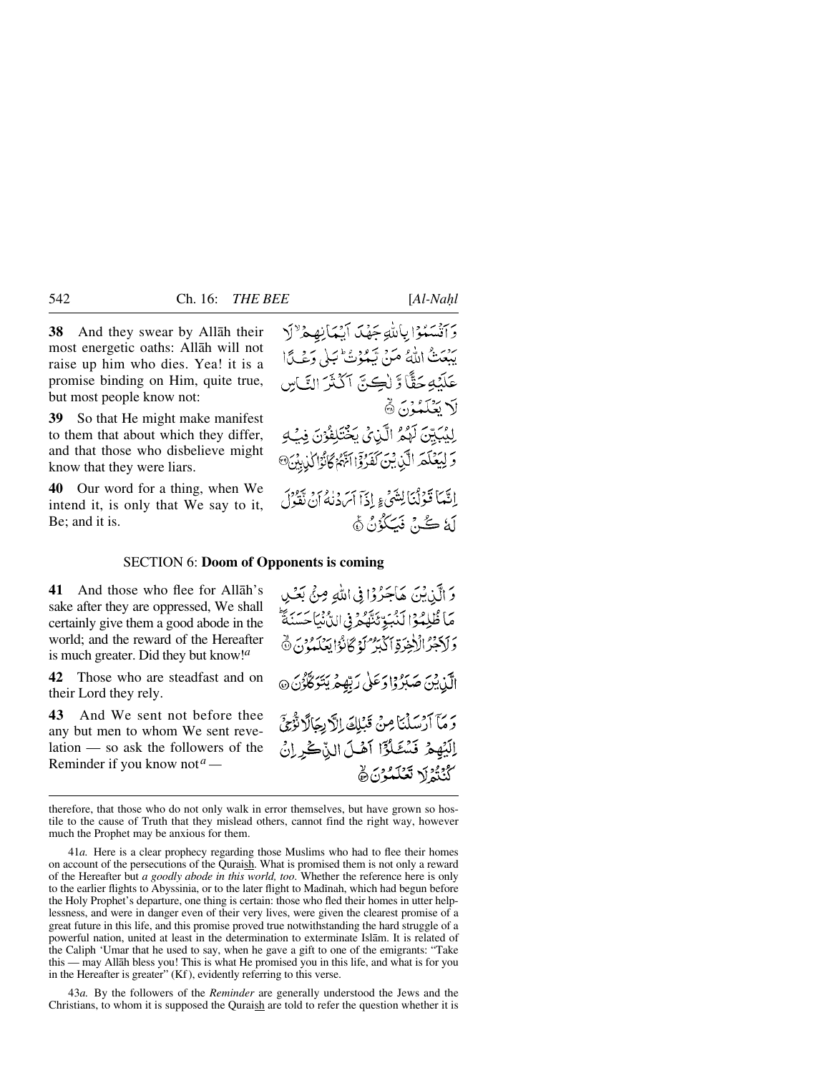**38** And they swear by Allåh their most energetic oaths: Allåh will not raise up him who dies. Yea! it is a promise binding on Him, quite true, but most people know not:

**39** So that He might make manifest to them that about which they differ, and that those who disbelieve might know that they were liars.

**40** Our word for a thing, when We intend it, is only that We say to it, Be; and it is.

وَأَنْسَهُوْا بِاللَّهِ جَهْدَ أَيْمَانِهِ هِ لِهِ أَ يَبْعَتْ اللَّهُ مَنْ تَبْدُوْتُ ٰ يَلِي وَعْبِيًّا عَلَنْهِ حَقًّا وَّ لِٰڪِنَّ آَكُنَّزَ النَّاسِ لَا تَعْلَمْهُ: ۞ لِلِيُكِيِّنَ لَهُمُّ الَّذِيْ يَخْتَلِفُوْنَ فِبُّهِ 5 لِيَعْلَمَ الَّذِينَ كَفَرُوْا آَنَّهُمْ كَانُوْا لَذِينَ @ إِنَّهَا قَوْلُنَا لِتَنْبَىءٍ إِذَا أَيْرَدْنَهُ أَنْ تَقُولُ لَهُ كُنْ فَيَكُوُنُ ﴾

#### SECTION 6: **Doom of Opponents is coming**

**41** And those who flee for Allåh's sake after they are oppressed, We shall certainly give them a good abode in the world; and the reward of the Hereafter is much greater. Did they but know!*<sup>a</sup>*

**42** Those who are steadfast and on their Lord they rely.

**43** And We sent not before thee any but men to whom We sent revelation — so ask the followers of the Reminder if you know not*<sup>a</sup> —*

وَ الَّذِيْنَ هَاجَرُوْا فِي اللَّهِ مِنْ بَعْدِ مَاظُلِمُوْا لَنُبَوِّئَنَّهُ وَفِى الدَّنْيَاحَسَنَةَ وَلَاَجْرُ الْأَخِرَةِ ٱكْبَرْ كَوْكَانُوْا يَعْلَمُوْنَ ۞ الَّذِينَ صَبَرُوْا دَعَلٰى رَبِّهِمْ يَتَوَكَّرُنَ ۞ رَمَا آرَسَلْنَا مِنْ قَبْلِكَ إِلَّا بِجَالًا تَوْجَىَ إِلَيْهِمْ فَسُشَلُوْٓا آهُلَ الزَّكْرِرْنُ كَنْتُمْ لَا تَعْلَمْوْنَ ﴾

therefore, that those who do not only walk in error themselves, but have grown so hostile to the cause of Truth that they mislead others, cannot find the right way, however much the Prophet may be anxious for them.

41*a.* Here is a clear prophecy regarding those Muslims who had to flee their homes on account of the persecutions of the Quraish. What is promised them is not only a reward of the Hereafter but *a goodly abode in this world, too*. Whether the reference here is only to the earlier flights to Abyssinia, or to the later flight to Madinah, which had begun before the Holy Prophet's departure, one thing is certain: those who fled their homes in utter helplessness, and were in danger even of their very lives, were given the clearest promise of a great future in this life, and this promise proved true notwithstanding the hard struggle of a powerful nation, united at least in the determination to exterminate Islåm. It is related of the Caliph 'Umar that he used to say, when he gave a gift to one of the emigrants: "Take this — may Allåh bless you! This is what He promised you in this life, and what is for you in the Hereafter is greater" (Kf ), evidently referring to this verse.

43*a.* By the followers of the *Reminder* are generally understood the Jews and the Christians, to whom it is supposed the Quraish are told to refer the question whether it is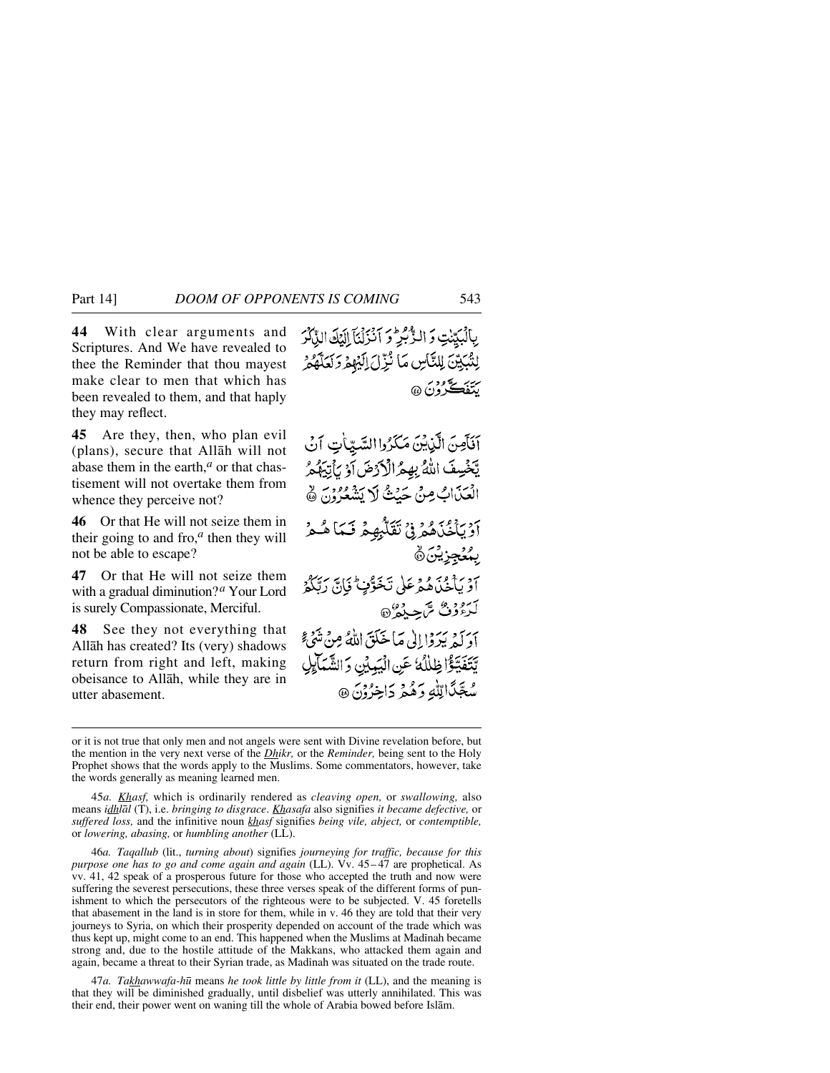**44** With clear arguments and Scriptures. And We have revealed to thee the Reminder that thou mayest make clear to men that which has been revealed to them, and that haply they may reflect.

**45** Are they, then, who plan evil (plans), secure that Allåh will not abase them in the earth,*<sup>a</sup>* or that chastisement will not overtake them from whence they perceive not?

**46** Or that He will not seize them in their going to and fro,*<sup>a</sup>* then they will not be able to escape?

**47** Or that He will not seize them with a gradual diminution?*<sup>a</sup>* Your Lord is surely Compassionate, Merciful.

**48** See they not everything that Allåh has created? Its (very) shadows return from right and left, making obeisance to Allåh, while they are in utter abasement.

بِالْبَيِّنْتِ وَ الرّْبَيْرِ وَ اَنْزَلْنَا إِلَيْكَ الدِّكْرَ لِنُّبِكِيِّنَ لِلتَّاسِ مَا نُزِّلَ إِلَيْهِمْ وَلَعَلَّهُمْ سئۇ دىكتى دىن<br>يېتف<del>ې</del> كې دىن

آفَأَصِنَ الَّذِيْنَ مَكَرُوا السَّيِّأَتِ آنُ يَّخْسِفَ اللَّهُ بِهِمُ الْأَرْضَ أَوْ يَأْتِيَهُمُ الْعَذَابُ مِنْ حَيْثُ لَا يَشْعُرُونَ ﴾ برديوس و د د نقلهٔ محدد نسا همه د ۣؠؠؙۼڿۯۣؿؙڽؘۿ أَوْ يَأْخُذُهُمْ عَلَى تَخَوَّفٍ فَإِنَّ رَبَّكُمْ لَدَءُدُنَّ سَّ حِيدُهُ ۞ آدَ كَيْرَ وَا إِلَى مَا خَلَقَ اللَّهُ مِنْ تَدَبَّج يَّتَفَيَّؤُا ظِلْلُهُ عَنِ الْيَبِيِّنِ وَالشَّبَالِي مُعَبَّدًالِّلَّٰهِ وَهُمْ دَاخِرُوْنَ ۞

45*a. Khasf,* which is ordinarily rendered as *cleaving open,* or *swallowing,* also means *idhlål* (T), i.e. *bringing to disgrace*. *Khasafa* also signifies *it became defective,* or *suffered loss,* and the infinitive noun *khasf* signifies *being vile, abject,* or *contemptible,* or *lowering, abasing,* or *humbling another* (LL).

46*a. Taqallub* (lit., *turning about*) signifies *journeying for traffic, because for this purpose one has to go and come again and again* (LL). Vv. 45–47 are prophetical. As vv. 41, 42 speak of a prosperous future for those who accepted the truth and now were suffering the severest persecutions, these three verses speak of the different forms of punishment to which the persecutors of the righteous were to be subjected. V. 45 foretells that abasement in the land is in store for them, while in v. 46 they are told that their very journeys to Syria, on which their prosperity depended on account of the trade which was thus kept up, might come to an end. This happened when the Muslims at Madinah became strong and, due to the hostile attitude of the Makkans, who attacked them again and again, became a threat to their Syrian trade, as Madinah was situated on the trade route.

47*a. Takhawwafa-h∂* means *he took little by little from it* (LL), and the meaning is that they will be diminished gradually, until disbelief was utterly annihilated. This was their end, their power went on waning till the whole of Arabia bowed before Islåm.

or it is not true that only men and not angels were sent with Divine revelation before, but the mention in the very next verse of the *Dhikr,* or the *Reminder,* being sent to the Holy Prophet shows that the words apply to the Muslims. Some commentators, however, take the words generally as meaning learned men.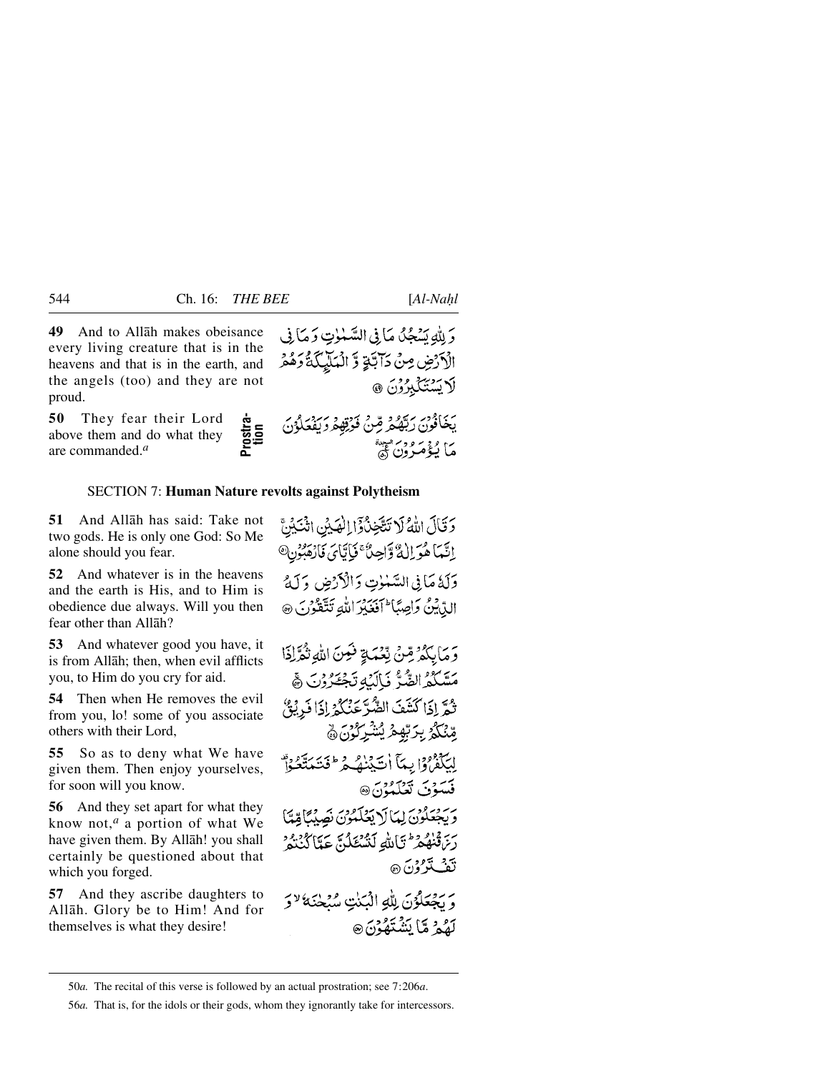لَا يَسْتَكَبِرُوْنَ ۞

**49** And to Allåh makes obeisance every living creature that is in the heavens and that is in the earth, and the angels (too) and they are not proud.

**50** They fear their Lord above them and do what they are commanded.*<sup>a</sup>*

### SECTION 7: **Human Nature revolts against Polytheism**

**51** And Allåh has said: Take not two gods. He is only one God: So Me alone should you fear.

**52** And whatever is in the heavens and the earth is His, and to Him is obedience due always. Will you then fear other than Allåh?

**53** And whatever good you have, it is from Allåh; then, when evil afflicts you, to Him do you cry for aid.

**54** Then when He removes the evil from you, lo! some of you associate others with their Lord,

**55** So as to deny what We have given them. Then enjoy yourselves, for soon will you know.

**56** And they set apart for what they know not,*<sup>a</sup>* a portion of what We have given them. By Allåh! you shall certainly be questioned about that which you forged.

**57** And they ascribe daughters to Allåh. Glory be to Him! And for themselves is what they desire!

وَلِلَّهِ يَسْجُلُ مَا فِي السَّمْوٰتِ وَمَا فِي الْأَرْضِ مِنْ دَآَبَةٍ وَّ الْمَلَيْكَةُ دَهُمْ

يَكَذُّلُوْنٌ رَبَّهُمَا وَاللَّهِ الرَّجَلُودُ رَبَّهُمَا وَاللَّهُمَا وَاللَّهُ اللَّهُ اللَّهُ اللَّهُ اللَّهُ<br>commanded."<br>
Exer thein and substitute revolts against Polytheism<br>
And Alliah has said: Take not control to

<sup>50</sup>*a.* The recital of this verse is followed by an actual prostration; see 7:206*a*.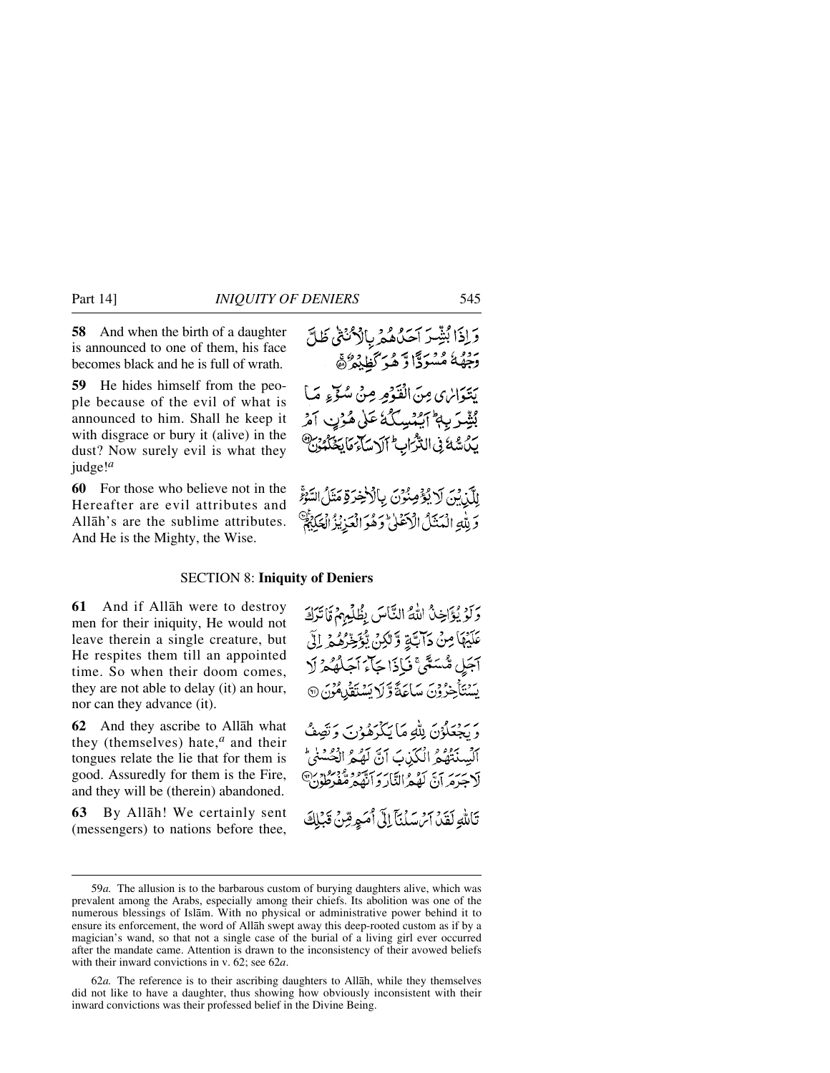**58** And when the birth of a daughter is announced to one of them, his face becomes black and he is full of wrath.

**59** He hides himself from the people because of the evil of what is announced to him. Shall he keep it with disgrace or bury it (alive) in the dust? Now surely evil is what they judge!*<sup>a</sup>*

**60** For those who believe not in the Hereafter are evil attributes and Allåh's are the sublime attributes. And He is the Mighty, the Wise.

وَ لِلَّهِ الْمَنَذَلُ الْأَعْلَىٰ وَهُوَ الْعَذِيْزُ الْعَكَبَةُ

#### SECTION 8: **Iniquity of Deniers**

**61** And if Allåh were to destroy men for their iniquity, He would not leave therein a single creature, but He respites them till an appointed time. So when their doom comes, they are not able to delay (it) an hour, nor can they advance (it).

**62** And they ascribe to Allåh what they (themselves) hate,*<sup>a</sup>* and their tongues relate the lie that for them is good. Assuredly for them is the Fire, and they will be (therein) abandoned.

**63** By Allåh! We certainly sent (messengers) to nations before thee, وَلَوْ يُؤَاخِذُ اللَّهُ النَّاسَ بِظُلْمِهِمْ قَا تَرَكَ عَلَيْهَا مِنْ دَابَةٍ وَّلْكِنْ يُؤَخِّرُهُمْ لِلَّ آجَلٍ مُّسَمًّىَّ نَإِذَا جَآءَ اَجَلُّهُ ۚ زَلَا يَسْتَأْخِرُوْنَ سَاعَةً وَّلَا يَسْتَقْلِمُوْنَ @ ر روبلان لِلهِ مَا يَكْرَمُوْنَ وَتَصِفُّ

ٱلۡسِنۡتُهُمُ الۡكَذِبَ ٱنَّ لَهُمُ الۡحُسۡمٰ ؕ لَاجَرَمَرَ أَنَّ لَهُمْ النَّارَ وَأَنَّهُمْ تَتَفَرَطُوْنَ

تَاللَّهِ لَقَدۡ آَمُ سَلۡنَآ إِلَىٰٓ أَمَوِقِنَىٰٓ قَبۡلِكَ

<sup>59</sup>*a.* The allusion is to the barbarous custom of burying daughters alive, which was prevalent among the Arabs, especially among their chiefs. Its abolition was one of the numerous blessings of Islåm. With no physical or administrative power behind it to ensure its enforcement, the word of Allåh swept away this deep-rooted custom as if by a magician's wand, so that not a single case of the burial of a living girl ever occurred after the mandate came. Attention is drawn to the inconsistency of their avowed beliefs with their inward convictions in v. 62; see 62*a*.

<sup>62</sup>*a.* The reference is to their ascribing daughters to Allåh, while they themselves did not like to have a daughter, thus showing how obviously inconsistent with their inward convictions was their professed belief in the Divine Being.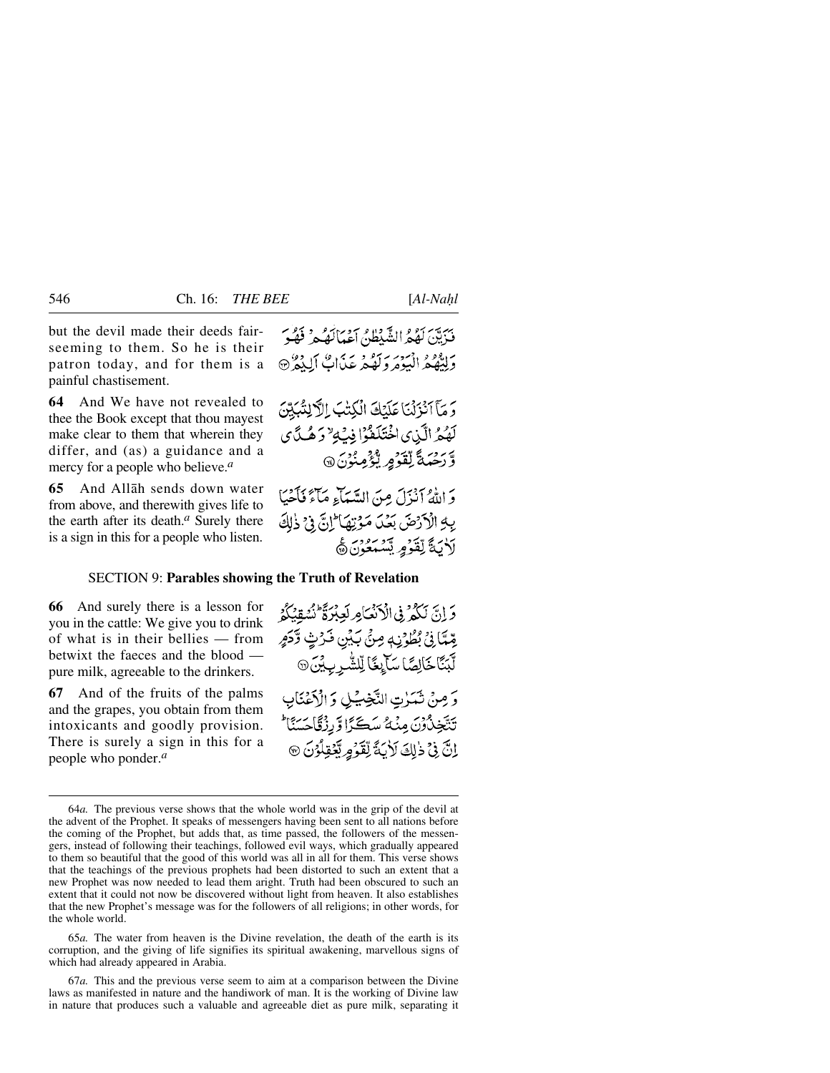but the devil made their deeds fairseeming to them. So he is their patron today, and for them is a painful chastisement.

**64** And We have not revealed to thee the Book except that thou mayest make clear to them that wherein they differ, and (as) a guidance and a mercy for a people who believe.*<sup>a</sup>*

**65** And Allåh sends down water from above, and therewith gives life to the earth after its death.*<sup>a</sup>* Surely there is a sign in this for a people who listen.

فَدَيَّنَ لَهُمُرُ الشَّيْطُنُّ اَعْبَالَهُ بِهِ ۚ فَهُوَ ريده د انيومرد تو د بريد عن اب آليد د ده<br>وليفهم اليومرولهم عن اب آليد ه

وَ مَآَ أَنْزَلْنَا عَلَيْكَ الْكِتْبَ الْآَلِنْيَكِينَ لَهُمُّ الَّذِي اخْتَلَفُوْا فِي َلِّهِ وَهُدَّي وَرَحِّمَةً لِّقَدَّمِ يُؤْمِنُونَ ۞

بَرَ يَوْمَ أَنْزَلَ مِنَ السَّيِّبَاءِ مَآءً فَأَجَبَا بِهِ الْأَرْضَ بَعْدَ مَؤْتِهَا إِنَّ فِي ذٰلِكَ لَأَيَةَ لِقَوْمٍ يَسْمَعُونَ۞

#### SECTION 9: **Parables showing the Truth of Revelation**

**66** And surely there is a lesson for you in the cattle: We give you to drink of what is in their bellies — from betwixt the faeces and the blood pure milk, agreeable to the drinkers.

**67** And of the fruits of the palms and the grapes, you obtain from them intoxicants and goodly provision. There is surely a sign in this for a people who ponder.*<sup>a</sup>*

65*a.* The water from heaven is the Divine revelation, the death of the earth is its corruption, and the giving of life signifies its spiritual awakening, marvellous signs of which had already appeared in Arabia.

67*a.* This and the previous verse seem to aim at a comparison between the Divine laws as manifested in nature and the handiwork of man. It is the working of Divine law in nature that produces such a valuable and agreeable diet as pure milk, separating it

وَ إِنَّ لَكُمْ فِي الْأَنْعَامِ لَعِبْرَةً نُشُقِنُكُمُ يِّمِّيَّا فِيْ بُطُوْنِهِ مِنْ بَيْنِ فَرْثٍ وَّكَهِ ڷڹؘٵڂؘٳڸڝؘؘۜٳڛؘٳؠڬؘٳڸڵۺ۠ڔۑؽ۬ؽؘ۞ وَصِنْ ثَمَرْتِ النَّخِيُّلِ وَالْأَعْنَانِ تَتَّخِذُونَ مِنْهُ سَكَّرًا وَّرِزْقَاجَسَنَا اِنَّ فِيْ ذٰلِكَ لَأَيَةً لِّقَوْمِ بِّعْقِلُوْنَ ۞

<sup>64</sup>*a.* The previous verse shows that the whole world was in the grip of the devil at the advent of the Prophet. It speaks of messengers having been sent to all nations before the coming of the Prophet, but adds that, as time passed, the followers of the messengers, instead of following their teachings, followed evil ways, which gradually appeared to them so beautiful that the good of this world was all in all for them. This verse shows that the teachings of the previous prophets had been distorted to such an extent that a new Prophet was now needed to lead them aright. Truth had been obscured to such an extent that it could not now be discovered without light from heaven. It also establishes that the new Prophet's message was for the followers of all religions; in other words, for the whole world.